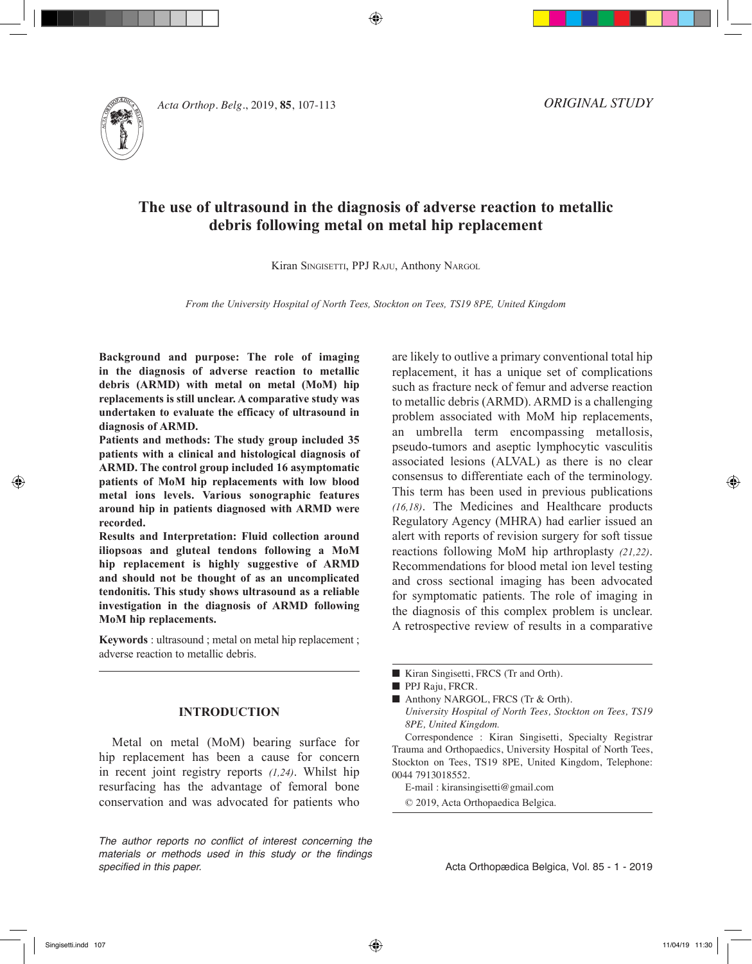

*Acta Orthop. Belg.*, 2019, **85**, 107-113

*ORIGINAL STUDY*

# **The use of ultrasound in the diagnosis of adverse reaction to metallic debris following metal on metal hip replacement**

⊕

Kiran SINGISETTI, PPJ RAJU, Anthony NARGOL

*From the University Hospital of North Tees, Stockton on Tees, TS19 8PE, United Kingdom*

**Background and purpose: The role of imaging in the diagnosis of adverse reaction to metallic debris (ARMD) with metal on metal (MoM) hip replacements is still unclear. A comparative study was undertaken to evaluate the efficacy of ultrasound in diagnosis of ARMD.** 

**Patients and methods: The study group included 35 patients with a clinical and histological diagnosis of ARMD. The control group included 16 asymptomatic patients of MoM hip replacements with low blood metal ions levels. Various sonographic features around hip in patients diagnosed with ARMD were recorded.** 

**Results and Interpretation: Fluid collection around iliopsoas and gluteal tendons following a MoM hip replacement is highly suggestive of ARMD and should not be thought of as an uncomplicated tendonitis. This study shows ultrasound as a reliable investigation in the diagnosis of ARMD following MoM hip replacements.**

**Keywords** : ultrasound ; metal on metal hip replacement ; adverse reaction to metallic debris.

# **INTRODUCTION**

Metal on metal (MoM) bearing surface for hip replacement has been a cause for concern in recent joint registry reports *(1,24)*. Whilst hip resurfacing has the advantage of femoral bone conservation and was advocated for patients who

*The author reports no conflict of interest concerning the materials or methods used in this study or the findings specified in this paper.*

are likely to outlive a primary conventional total hip replacement, it has a unique set of complications such as fracture neck of femur and adverse reaction to metallic debris (ARMD). ARMD is a challenging problem associated with MoM hip replacements, an umbrella term encompassing metallosis, pseudo-tumors and aseptic lymphocytic vasculitis associated lesions (ALVAL) as there is no clear consensus to differentiate each of the terminology. This term has been used in previous publications *(16,18)*. The Medicines and Healthcare products Regulatory Agency (MHRA) had earlier issued an alert with reports of revision surgery for soft tissue reactions following MoM hip arthroplasty *(21,22)*. Recommendations for blood metal ion level testing and cross sectional imaging has been advocated for symptomatic patients. The role of imaging in the diagnosis of this complex problem is unclear. A retrospective review of results in a comparative

■ Anthony NARGOL, FRCS (Tr & Orth). *University Hospital of North Tees, Stockton on Tees, TS19 8PE, United Kingdom.*

Correspondence : Kiran Singisetti, Specialty Registrar Trauma and Orthopaedics, University Hospital of North Tees, Stockton on Tees, TS19 8PE, United Kingdom, Telephone: 0044 7913018552.

E-mail : kiransingisetti@gmail.com

© 2019, Acta Orthopaedica Belgica.

Acta Orthopædica Belgica, Vol. 85 - 1 - 2019

<sup>■</sup> Kiran Singisetti, FRCS (Tr and Orth).

PPJ Raju, FRCR.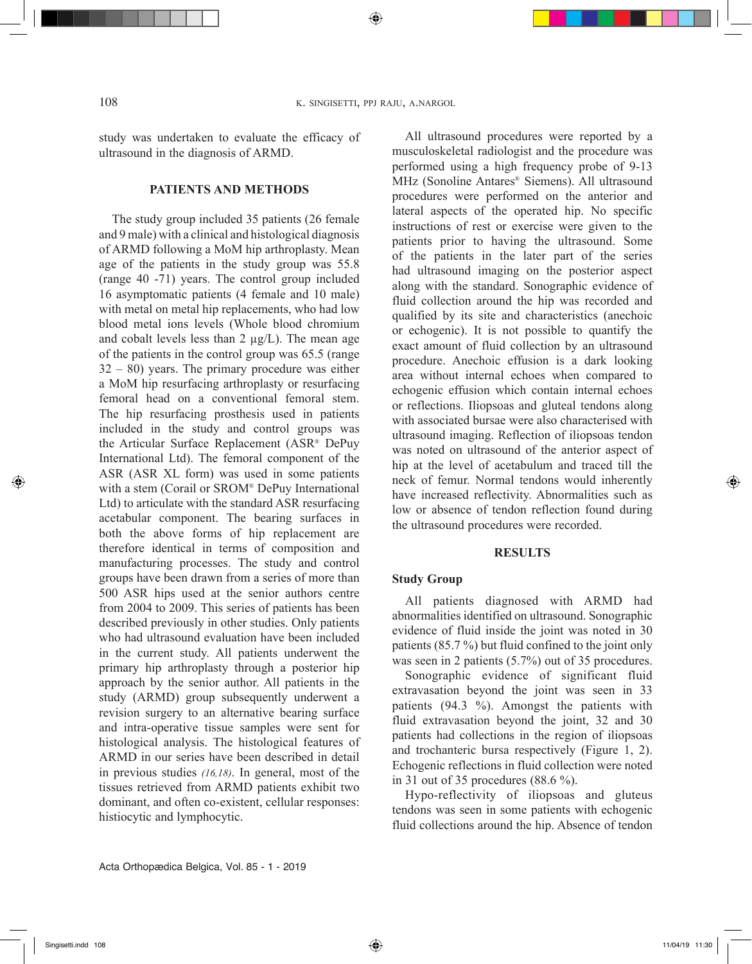study was undertaken to evaluate the efficacy of ultrasound in the diagnosis of ARMD.

## **PATIENTS AND METHODS**

The study group included 35 patients (26 female and 9 male) with a clinical and histological diagnosis of ARMD following a MoM hip arthroplasty. Mean age of the patients in the study group was 55.8 (range 40 -71) years. The control group included 16 asymptomatic patients (4 female and 10 male) with metal on metal hip replacements, who had low blood metal ions levels (Whole blood chromium and cobalt levels less than  $2 \mu g/L$ ). The mean age of the patients in the control group was 65.5 (range 32 – 80) years. The primary procedure was either a MoM hip resurfacing arthroplasty or resurfacing femoral head on a conventional femoral stem. The hip resurfacing prosthesis used in patients included in the study and control groups was the Articular Surface Replacement (ASR® DePuy International Ltd). The femoral component of the ASR (ASR XL form) was used in some patients with a stem (Corail or SROM® DePuy International Ltd) to articulate with the standard ASR resurfacing acetabular component. The bearing surfaces in both the above forms of hip replacement are therefore identical in terms of composition and manufacturing processes. The study and control groups have been drawn from a series of more than 500 ASR hips used at the senior authors centre from 2004 to 2009. This series of patients has been described previously in other studies. Only patients who had ultrasound evaluation have been included in the current study. All patients underwent the primary hip arthroplasty through a posterior hip approach by the senior author. All patients in the study (ARMD) group subsequently underwent a revision surgery to an alternative bearing surface and intra-operative tissue samples were sent for histological analysis. The histological features of ARMD in our series have been described in detail in previous studies *(16,18)*. In general, most of the tissues retrieved from ARMD patients exhibit two dominant, and often co-existent, cellular responses: histiocytic and lymphocytic.

All ultrasound procedures were reported by a musculoskeletal radiologist and the procedure was performed using a high frequency probe of 9-13 MHz (Sonoline Antares® Siemens). All ultrasound procedures were performed on the anterior and lateral aspects of the operated hip. No specific instructions of rest or exercise were given to the patients prior to having the ultrasound. Some of the patients in the later part of the series had ultrasound imaging on the posterior aspect along with the standard. Sonographic evidence of fluid collection around the hip was recorded and qualified by its site and characteristics (anechoic or echogenic). It is not possible to quantify the exact amount of fluid collection by an ultrasound procedure. Anechoic effusion is a dark looking area without internal echoes when compared to echogenic effusion which contain internal echoes or reflections. Iliopsoas and gluteal tendons along with associated bursae were also characterised with ultrasound imaging. Reflection of iliopsoas tendon was noted on ultrasound of the anterior aspect of hip at the level of acetabulum and traced till the neck of femur. Normal tendons would inherently have increased reflectivity. Abnormalities such as low or absence of tendon reflection found during the ultrasound procedures were recorded.

### **RESULTS**

### **Study Group**

All patients diagnosed with ARMD had abnormalities identified on ultrasound. Sonographic evidence of fluid inside the joint was noted in 30 patients (85.7 %) but fluid confined to the joint only was seen in 2 patients (5.7%) out of 35 procedures.

Sonographic evidence of significant fluid extravasation beyond the joint was seen in 33 patients (94.3 %). Amongst the patients with fluid extravasation beyond the joint, 32 and 30 patients had collections in the region of iliopsoas and trochanteric bursa respectively (Figure 1, 2). Echogenic reflections in fluid collection were noted in 31 out of 35 procedures (88.6 %).

Hypo-reflectivity of iliopsoas and gluteus tendons was seen in some patients with echogenic fluid collections around the hip. Absence of tendon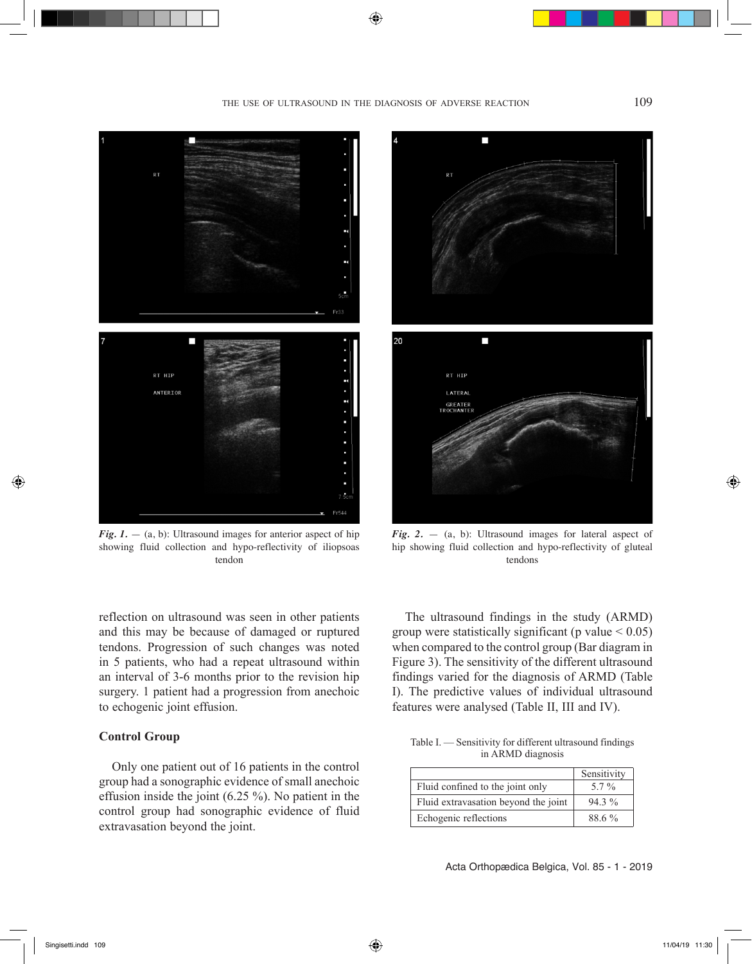⊕



*Fig. 1.*  $-$  (a, b): Ultrasound images for anterior aspect of hip showing fluid collection and hypo-reflectivity of iliopsoas tendon

reflection on ultrasound was seen in other patients and this may be because of damaged or ruptured tendons. Progression of such changes was noted in 5 patients, who had a repeat ultrasound within an interval of 3-6 months prior to the revision hip surgery. 1 patient had a progression from anechoic to echogenic joint effusion.

# **Control Group**

Only one patient out of 16 patients in the control group had a sonographic evidence of small anechoic effusion inside the joint (6.25 %). No patient in the control group had sonographic evidence of fluid extravasation beyond the joint.



*Fig. 2.*  $-$  (a, b): Ultrasound images for lateral aspect of hip showing fluid collection and hypo-reflectivity of gluteal tendons

The ultrasound findings in the study (ARMD) group were statistically significant (p value  $\leq 0.05$ ) when compared to the control group (Bar diagram in Figure 3). The sensitivity of the different ultrasound findings varied for the diagnosis of ARMD (Table I). The predictive values of individual ultrasound features were analysed (Table II, III and IV).

| Table I. — Sensitivity for different ultrasound findings |                   |  |
|----------------------------------------------------------|-------------------|--|
|                                                          | in ARMD diagnosis |  |

|                                      | Sensitivity |
|--------------------------------------|-------------|
| Fluid confined to the joint only     | $5.7\%$     |
| Fluid extravasation beyond the joint | $943\%$     |
| Echogenic reflections                | 88.6 %      |

Acta Orthopædica Belgica, Vol. 85 - 1 - 2019

◈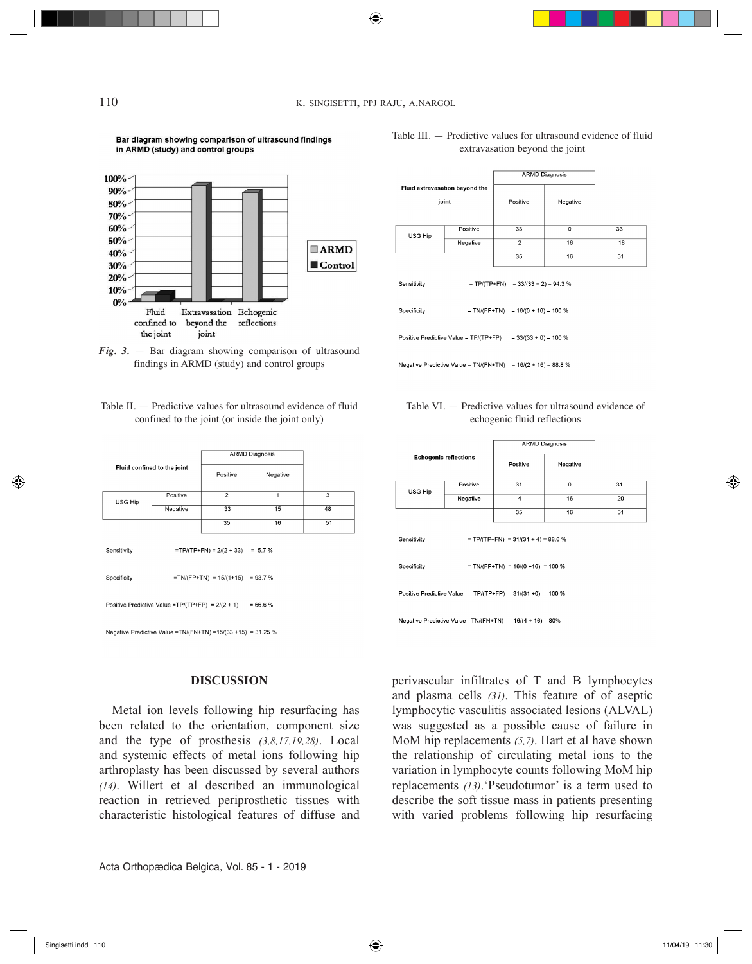### 110 K. SINGISETTI, PPJ RAJU, A.NARGOL

◈

Bar diagram showing comparison of ultrasound findings in ARMD (study) and control groups





Table II. — Predictive values for ultrasound evidence of fluid confined to the joint (or inside the joint only)

| Fluid confined to the joint                                        |          | <b>ARMD Diagnosis</b> |          |    |  |  |
|--------------------------------------------------------------------|----------|-----------------------|----------|----|--|--|
|                                                                    |          | Positive              | Negative |    |  |  |
| USG Hip                                                            | Positive | $\overline{2}$        | 1        | 3  |  |  |
|                                                                    | Negative | 33                    | 15       | 48 |  |  |
|                                                                    |          | 35                    | 16       | 51 |  |  |
| $=TP/(TP+FN) = 2/(2 + 33) = 5.7%$<br>Sensitivity                   |          |                       |          |    |  |  |
| $=TN/(FP+TN) = 15/(1+15) = 93.7%$<br>Specificity                   |          |                       |          |    |  |  |
| Positive Predictive Value = TP/(TP+FP) = $2/(2 + 1)$<br>$= 66.6 %$ |          |                       |          |    |  |  |

Negative Predictive Value = TN/(FN+TN) = 15/(33 + 15) = 31.25 %

### **DISCUSSION**

Metal ion levels following hip resurfacing has been related to the orientation, component size and the type of prosthesis *(3,8,17,19,28)*. Local and systemic effects of metal ions following hip arthroplasty has been discussed by several authors *(14)*. Willert et al described an immunological reaction in retrieved periprosthetic tissues with characteristic histological features of diffuse and

Acta Orthopædica Belgica, Vol. 85 - 1 - 2019

USG Hip Negative  $\overline{1}$  $\overline{16}$  $\overline{35}$  $\overline{16}$  $= TP/(TP+FN) = 33/(33 + 2) = 94.3$  % Sensitivity Specificity  $= TN/(FP+TN) = 16/(0 + 16) = 100 %$ Positive Predictive Value = TP/(TP+FP)  $= 33/(33 + 0) = 100 %$ Negative Predictive Value = TN/(FN+TN) =  $16/(2 + 16) = 88.8$  %

Fluid extravasation beyond the

 $i$ oint

Positive



Table III. — Predictive values for ultrasound evidence of fluid extravasation beyond the joint

**Positive** 

 $\overline{33}$ 

ARMD Diagnosis

Negative

 $\overline{0}$ 

 $\frac{1}{33}$ 

 $\overline{18}$ 

 $\overline{51}$ 

| <b>Echogenic reflections</b>                                  |          | <b>ARMD Diagnosis</b>                                         |          |    |  |
|---------------------------------------------------------------|----------|---------------------------------------------------------------|----------|----|--|
|                                                               |          | Positive                                                      | Negative |    |  |
| USG Hip                                                       | Positive | 31                                                            | 0        | 31 |  |
|                                                               | Negative | 4                                                             | 16       | 20 |  |
|                                                               |          | 35                                                            | 16       | 51 |  |
| $= TP/(TP+FN) = 31/(31 + 4) = 88.6$ %<br>Sensitivity          |          |                                                               |          |    |  |
| $= TN/(FP+TN) = 16/(0 + 16) = 100 %$<br>Specificity           |          |                                                               |          |    |  |
|                                                               |          | Positive Predictive Value = $TP/(TP+FP)$ = 31/(31 +0) = 100 % |          |    |  |
| Negative Predictive Value = TN/(FN+TN) = $16/(4 + 16) = 80\%$ |          |                                                               |          |    |  |

perivascular infiltrates of T and B lymphocytes and plasma cells *(31)*. This feature of of aseptic lymphocytic vasculitis associated lesions (ALVAL) was suggested as a possible cause of failure in MoM hip replacements *(5,7)*. Hart et al have shown the relationship of circulating metal ions to the variation in lymphocyte counts following MoM hip replacements *(13)*.'Pseudotumor' is a term used to describe the soft tissue mass in patients presenting with varied problems following hip resurfacing

◈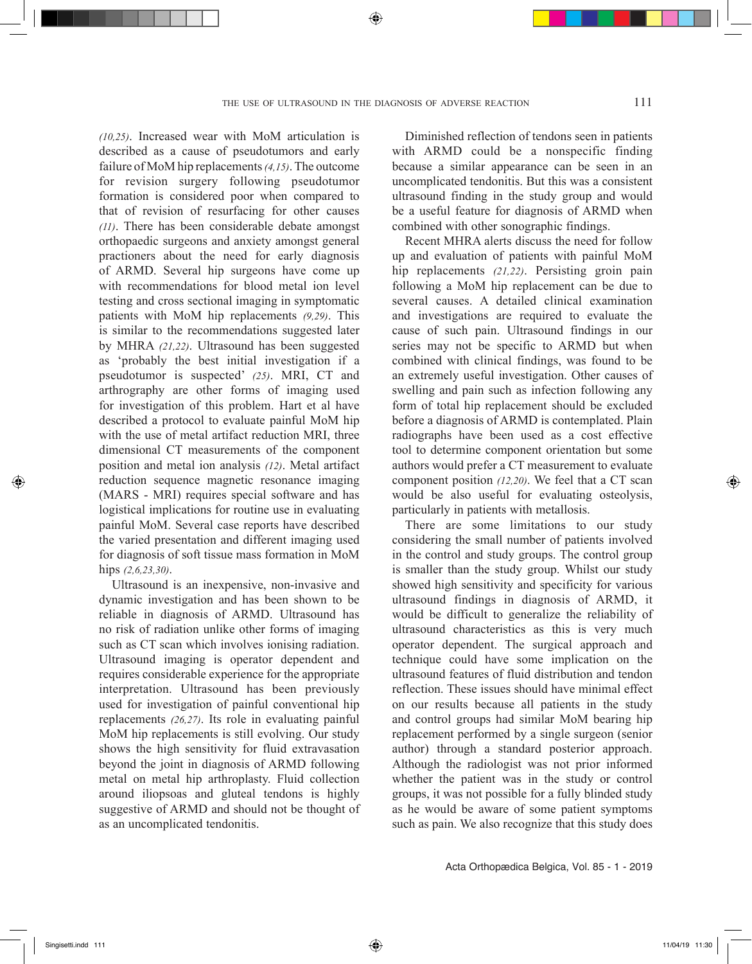*(10,25)*. Increased wear with MoM articulation is described as a cause of pseudotumors and early failure of MoM hip replacements *(4,15)*. The outcome for revision surgery following pseudotumor formation is considered poor when compared to that of revision of resurfacing for other causes *(11)*. There has been considerable debate amongst orthopaedic surgeons and anxiety amongst general practioners about the need for early diagnosis of ARMD. Several hip surgeons have come up with recommendations for blood metal ion level testing and cross sectional imaging in symptomatic patients with MoM hip replacements *(9,29)*. This is similar to the recommendations suggested later by MHRA *(21,22)*. Ultrasound has been suggested as 'probably the best initial investigation if a pseudotumor is suspected' *(25)*. MRI, CT and arthrography are other forms of imaging used for investigation of this problem. Hart et al have described a protocol to evaluate painful MoM hip with the use of metal artifact reduction MRI, three dimensional CT measurements of the component position and metal ion analysis *(12)*. Metal artifact reduction sequence magnetic resonance imaging (MARS - MRI) requires special software and has logistical implications for routine use in evaluating painful MoM. Several case reports have described the varied presentation and different imaging used for diagnosis of soft tissue mass formation in MoM hips *(2,6,23,30)*.

Ultrasound is an inexpensive, non-invasive and dynamic investigation and has been shown to be reliable in diagnosis of ARMD. Ultrasound has no risk of radiation unlike other forms of imaging such as CT scan which involves ionising radiation. Ultrasound imaging is operator dependent and requires considerable experience for the appropriate interpretation. Ultrasound has been previously used for investigation of painful conventional hip replacements *(26,27)*. Its role in evaluating painful MoM hip replacements is still evolving. Our study shows the high sensitivity for fluid extravasation beyond the joint in diagnosis of ARMD following metal on metal hip arthroplasty. Fluid collection around iliopsoas and gluteal tendons is highly suggestive of ARMD and should not be thought of as an uncomplicated tendonitis.

Diminished reflection of tendons seen in patients with ARMD could be a nonspecific finding because a similar appearance can be seen in an uncomplicated tendonitis. But this was a consistent ultrasound finding in the study group and would be a useful feature for diagnosis of ARMD when combined with other sonographic findings.

Recent MHRA alerts discuss the need for follow up and evaluation of patients with painful MoM hip replacements *(21,22)*. Persisting groin pain following a MoM hip replacement can be due to several causes. A detailed clinical examination and investigations are required to evaluate the cause of such pain. Ultrasound findings in our series may not be specific to ARMD but when combined with clinical findings, was found to be an extremely useful investigation. Other causes of swelling and pain such as infection following any form of total hip replacement should be excluded before a diagnosis of ARMD is contemplated. Plain radiographs have been used as a cost effective tool to determine component orientation but some authors would prefer a CT measurement to evaluate component position *(12,20)*. We feel that a CT scan would be also useful for evaluating osteolysis, particularly in patients with metallosis.

There are some limitations to our study considering the small number of patients involved in the control and study groups. The control group is smaller than the study group. Whilst our study showed high sensitivity and specificity for various ultrasound findings in diagnosis of ARMD, it would be difficult to generalize the reliability of ultrasound characteristics as this is very much operator dependent. The surgical approach and technique could have some implication on the ultrasound features of fluid distribution and tendon reflection. These issues should have minimal effect on our results because all patients in the study and control groups had similar MoM bearing hip replacement performed by a single surgeon (senior author) through a standard posterior approach. Although the radiologist was not prior informed whether the patient was in the study or control groups, it was not possible for a fully blinded study as he would be aware of some patient symptoms such as pain. We also recognize that this study does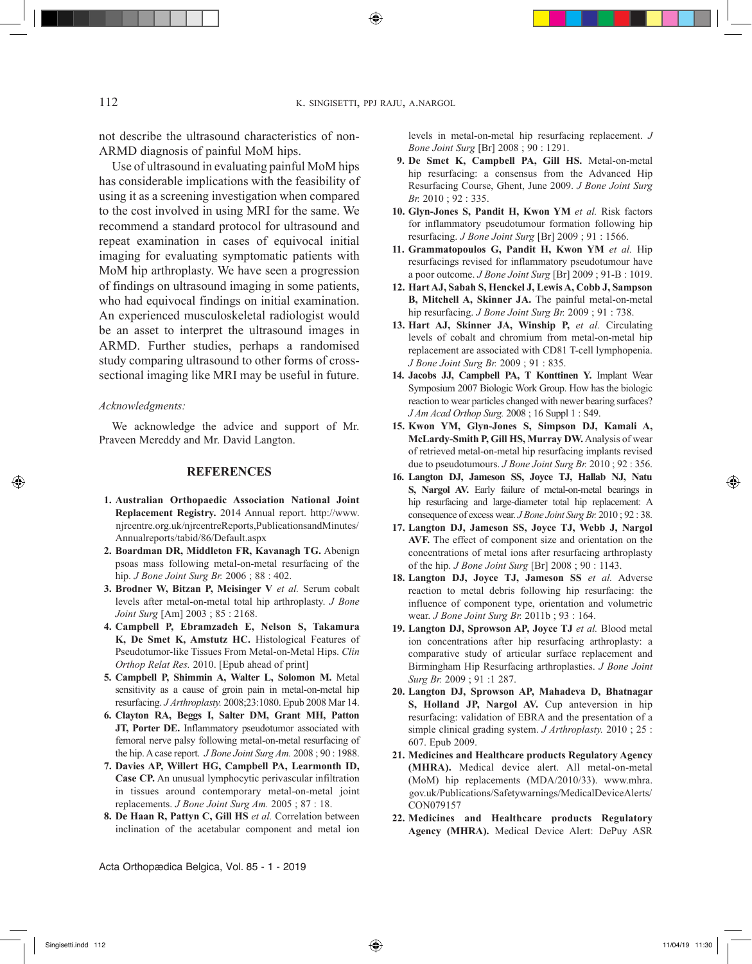112 K. SINGISETTI, PPJ RAJU, A.NARGOL

⊕

not describe the ultrasound characteristics of non-ARMD diagnosis of painful MoM hips.

Use of ultrasound in evaluating painful MoM hips has considerable implications with the feasibility of using it as a screening investigation when compared to the cost involved in using MRI for the same. We recommend a standard protocol for ultrasound and repeat examination in cases of equivocal initial imaging for evaluating symptomatic patients with MoM hip arthroplasty. We have seen a progression of findings on ultrasound imaging in some patients, who had equivocal findings on initial examination. An experienced musculoskeletal radiologist would be an asset to interpret the ultrasound images in ARMD. Further studies, perhaps a randomised study comparing ultrasound to other forms of crosssectional imaging like MRI may be useful in future.

#### *Acknowledgments:*

We acknowledge the advice and support of Mr. Praveen Mereddy and Mr. David Langton.

### **REFERENCES**

- **1. Australian Orthopaedic Association National Joint Replacement Registry.** 2014 Annual report. http://www. njrcentre.org.uk/njrcentreReports,PublicationsandMinutes/ Annualreports/tabid/86/Default.aspx
- **2. Boardman DR, Middleton FR, Kavanagh TG.** Abenign psoas mass following metal-on-metal resurfacing of the hip. *J Bone Joint Surg Br.* 2006 ; 88 : 402.
- **3. Brodner W, Bitzan P, Meisinger V** *et al.* Serum cobalt levels after metal-on-metal total hip arthroplasty. *J Bone Joint Surg* [Am] 2003 ; 85 : 2168.
- **4. Campbell P, Ebramzadeh E, Nelson S, Takamura K, De Smet K, Amstutz HC.** Histological Features of Pseudotumor-like Tissues From Metal-on-Metal Hips. *Clin Orthop Relat Res.* 2010. [Epub ahead of print]
- **5. Campbell P, Shimmin A, Walter L, Solomon M.** Metal sensitivity as a cause of groin pain in metal-on-metal hip resurfacing. *J Arthroplasty.* 2008;23:1080. Epub 2008 Mar 14.
- **6. Clayton RA, Beggs I, Salter DM, Grant MH, Patton JT, Porter DE.** Inflammatory pseudotumor associated with femoral nerve palsy following metal-on-metal resurfacing of the hip. A case report. *J Bone Joint Surg Am.* 2008 ; 90 : 1988.
- **7. Davies AP, Willert HG, Campbell PA, Learmonth ID, Case CP.** An unusual lymphocytic perivascular infiltration in tissues around contemporary metal-on-metal joint replacements. *J Bone Joint Surg Am.* 2005 ; 87 : 18.
- **8. De Haan R, Pattyn C, Gill HS** *et al.* Correlation between inclination of the acetabular component and metal ion

Acta Orthopædica Belgica, Vol. 85 - 1 - 2019

levels in metal-on-metal hip resurfacing replacement. *J Bone Joint Surg* [Br] 2008 ; 90 : 1291.

- **9. De Smet K, Campbell PA, Gill HS.** Metal-on-metal hip resurfacing: a consensus from the Advanced Hip Resurfacing Course, Ghent, June 2009. *J Bone Joint Surg Br.* 2010 ; 92 : 335.
- **10. Glyn-Jones S, Pandit H, Kwon YM** *et al.* Risk factors for inflammatory pseudotumour formation following hip resurfacing. *J Bone Joint Surg* [Br] 2009 ; 91 : 1566.
- **11. Grammatopoulos G, Pandit H, Kwon YM** *et al.* Hip resurfacings revised for inflammatory pseudotumour have a poor outcome. *J Bone Joint Surg* [Br] 2009 ; 91-B : 1019.
- **12. Hart AJ, Sabah S, Henckel J, Lewis A, Cobb J, Sampson B, Mitchell A, Skinner JA.** The painful metal-on-metal hip resurfacing. *J Bone Joint Surg Br.* 2009 ; 91 : 738.
- **13. Hart AJ, Skinner JA, Winship P,** *et al.* Circulating levels of cobalt and chromium from metal-on-metal hip replacement are associated with CD81 T-cell lymphopenia. *J Bone Joint Surg Br.* 2009 ; 91 : 835.
- **14. Jacobs JJ, Campbell PA, T Konttinen Y.** Implant Wear Symposium 2007 Biologic Work Group. How has the biologic reaction to wear particles changed with newer bearing surfaces? *J Am Acad Orthop Surg.* 2008 ; 16 Suppl 1 : S49.
- **15. Kwon YM, Glyn-Jones S, Simpson DJ, Kamali A, McLardy-Smith P, Gill HS, Murray DW.** Analysis of wear of retrieved metal-on-metal hip resurfacing implants revised due to pseudotumours. *J Bone Joint Surg Br.* 2010 ; 92 : 356.
- **16. Langton DJ, Jameson SS, Joyce TJ, Hallab NJ, Natu S, Nargol AV.** Early failure of metal-on-metal bearings in hip resurfacing and large-diameter total hip replacement: A consequence of excess wear. *J Bone Joint Surg Br.* 2010 ; 92 : 38.
- **17. Langton DJ, Jameson SS, Joyce TJ, Webb J, Nargol AVF.** The effect of component size and orientation on the concentrations of metal ions after resurfacing arthroplasty of the hip. *J Bone Joint Surg* [Br] 2008 ; 90 : 1143.
- **18. Langton DJ, Joyce TJ, Jameson SS** *et al.* Adverse reaction to metal debris following hip resurfacing: the influence of component type, orientation and volumetric wear. *J Bone Joint Surg Br.* 2011b ; 93 : 164.
- **19. Langton DJ, Sprowson AP, Joyce TJ** *et al.* Blood metal ion concentrations after hip resurfacing arthroplasty: a comparative study of articular surface replacement and Birmingham Hip Resurfacing arthroplasties. *J Bone Joint Surg Br.* 2009 ; 91 :1 287.
- **20. Langton DJ, Sprowson AP, Mahadeva D, Bhatnagar**  S, Holland JP, Nargol AV. Cup anteversion in hip resurfacing: validation of EBRA and the presentation of a simple clinical grading system. *J Arthroplasty.* 2010 ; 25 : 607. Epub 2009.
- **21. Medicines and Healthcare products Regulatory Agency (MHRA).** Medical device alert. All metal-on-metal (MoM) hip replacements (MDA/2010/33). www.mhra. gov.uk/Publications/Safetywarnings/MedicalDeviceAlerts/ CON079157
- **22. Medicines and Healthcare products Regulatory Agency (MHRA).** Medical Device Alert: DePuy ASR

⊕